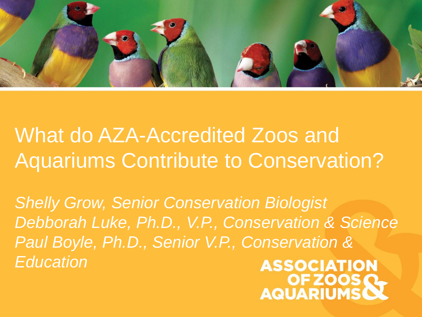

What do AZA-Accredited Zoos and Aquariums Contribute to Conservation?

*Shelly Grow, Senior Conservation Biologist Debborah Luke, Ph.D., V.P., Conservation & Science Paul Boyle, Ph.D., Senior V.P., Conservation & Education*

**ASSOCIATION** OF ZOOS OF ZOOS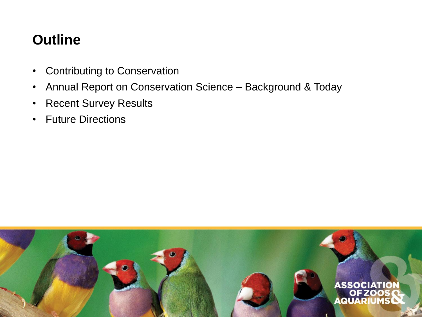## **Outline**

- Contributing to Conservation
- Annual Report on Conservation Science Background & Today
- Recent Survey Results
- Future Directions

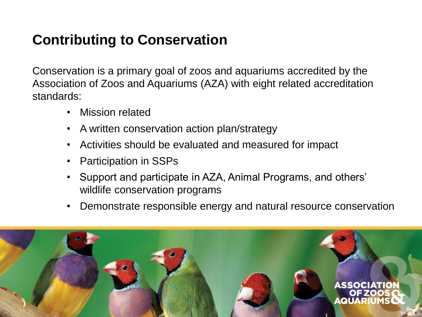# **Contributing to Conservation**

Conservation is a primary goal of zoos and aquariums accredited by the Association of Zoos and Aquariums (AZA) with eight related accreditation standards:

- Mission related
- A written conservation action plan/strategy
- Activities should be evaluated and measured for impact
- Participation in SSPs
- Support and participate in AZA, Animal Programs, and others' wildlife conservation programs
- Demonstrate responsible energy and natural resource conservation

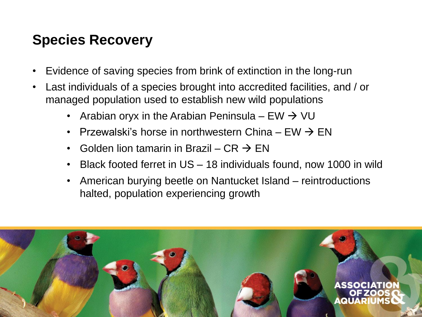### **Species Recovery**

- Evidence of saving species from brink of extinction in the long-run
- Last individuals of a species brought into accredited facilities, and / or managed population used to establish new wild populations
	- Arabian oryx in the Arabian Peninsula EW  $\rightarrow$  VU
	- Przewalski's horse in northwestern China  $FW \rightarrow FN$
	- Golden lion tamarin in Brazil CR  $\rightarrow$  EN
	- Black footed ferret in US 18 individuals found, now 1000 in wild
	- American burying beetle on Nantucket Island reintroductions halted, population experiencing growth

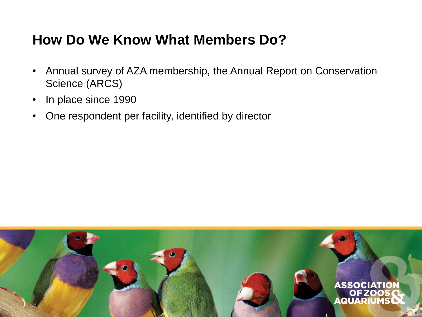#### **How Do We Know What Members Do?**

- Annual survey of AZA membership, the Annual Report on Conservation Science (ARCS)
- In place since 1990
- One respondent per facility, identified by director

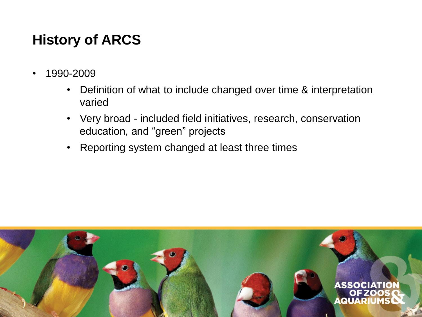# **History of ARCS**

- 1990-2009
	- Definition of what to include changed over time & interpretation varied
	- Very broad included field initiatives, research, conservation education, and "green" projects
	- Reporting system changed at least three times

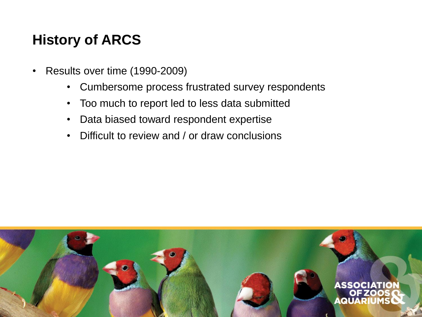## **History of ARCS**

- Results over time (1990-2009)
	- Cumbersome process frustrated survey respondents
	- Too much to report led to less data submitted
	- Data biased toward respondent expertise
	- Difficult to review and / or draw conclusions

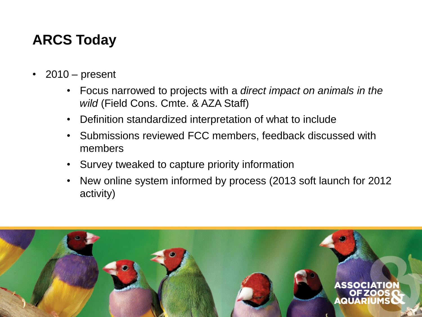# **ARCS Today**

- 2010 present
	- Focus narrowed to projects with a *direct impact on animals in the wild* (Field Cons. Cmte. & AZA Staff)
	- Definition standardized interpretation of what to include
	- Submissions reviewed FCC members, feedback discussed with members
	- Survey tweaked to capture priority information
	- New online system informed by process (2013 soft launch for 2012 activity)

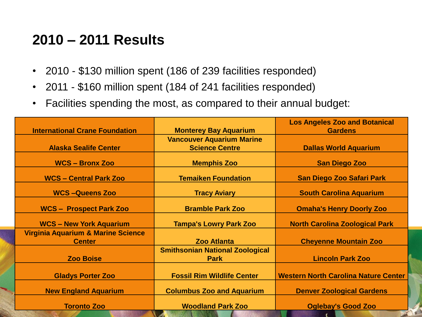#### **2010 – 2011 Results**

- 2010 \$130 million spent (186 of 239 facilities responded)
- 2011 \$160 million spent (184 of 241 facilities responded)
- Facilities spending the most, as compared to their annual budget:

|                                               |                                        | <b>Los Angeles Zoo and Botanical</b>        |
|-----------------------------------------------|----------------------------------------|---------------------------------------------|
| <b>International Crane Foundation</b>         | <b>Monterey Bay Aquarium</b>           | <b>Gardens</b>                              |
|                                               | <b>Vancouver Aquarium Marine</b>       |                                             |
| <b>Alaska Sealife Center</b>                  | <b>Science Centre</b>                  | <b>Dallas World Aquarium</b>                |
|                                               |                                        |                                             |
| <b>WCS - Bronx Zoo</b>                        | <b>Memphis Zoo</b>                     | <b>San Diego Zoo</b>                        |
| <b>WCS-Central Park Zoo</b>                   | <b>Temaiken Foundation</b>             | <b>San Diego Zoo Safari Park</b>            |
| <b>WCS-Queens Zoo</b>                         | <b>Tracy Aviary</b>                    | <b>South Carolina Aquarium</b>              |
| <b>WCS - Prospect Park Zoo</b>                | <b>Bramble Park Zoo</b>                | <b>Omaha's Henry Doorly Zoo</b>             |
| <b>WCS-New York Aquarium</b>                  | <b>Tampa's Lowry Park Zoo</b>          | <b>North Carolina Zoological Park</b>       |
| <b>Virginia Aquarium &amp; Marine Science</b> |                                        |                                             |
| <b>Center</b>                                 | <b>Zoo Atlanta</b>                     | <b>Cheyenne Mountain Zoo</b>                |
|                                               | <b>Smithsonian National Zoological</b> |                                             |
| <b>Zoo Boise</b>                              | <b>Park</b>                            | <b>Lincoln Park Zoo</b>                     |
|                                               |                                        |                                             |
| <b>Gladys Porter Zoo</b>                      | <b>Fossil Rim Wildlife Center</b>      | <b>Western North Carolina Nature Center</b> |
| <b>New England Aquarium</b>                   | <b>Columbus Zoo and Aquarium</b>       | <b>Denver Zoological Gardens</b>            |
| <b>Toronto Zoo</b>                            | <b>Woodland Park Zoo</b>               | <b>Oglebay's Good Zoo</b>                   |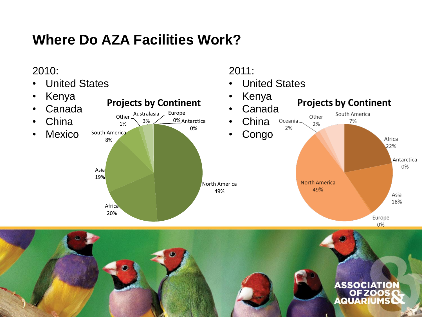## **Where Do AZA Facilities Work?**

#### 2010:



2011:

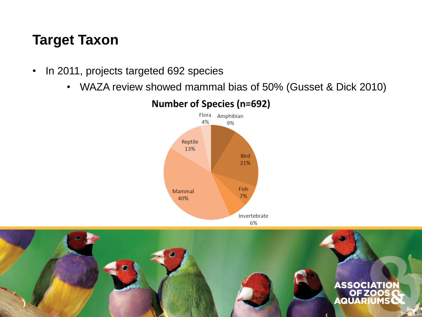#### **Target Taxon**

- In 2011, projects targeted 692 species
	- WAZA review showed mammal bias of 50% (Gusset & Dick 2010)



#### **Number of Species (n=692)**

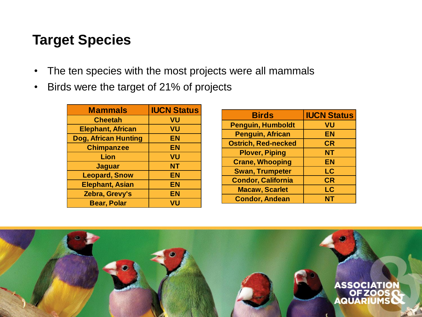#### **Target Species**

- The ten species with the most projects were all mammals
- Birds were the target of 21% of projects

| <b>Mammals</b>              | <b>IUCN Status</b> |
|-----------------------------|--------------------|
| <b>Cheetah</b>              | VU                 |
| <b>Elephant, African</b>    | VU                 |
| <b>Dog, African Hunting</b> | EN                 |
| <b>Chimpanzee</b>           | EN                 |
| Lion                        | VU                 |
| <b>Jaguar</b>               | NΤ                 |
| <b>Leopard, Snow</b>        | EN                 |
| <b>Elephant, Asian</b>      | EN                 |
| Zebra, Grevy's              | <b>EN</b>          |
| <b>Bear, Polar</b>          | VU                 |

| <b>Birds</b>               | <b>IUCN Status</b> |
|----------------------------|--------------------|
| <b>Penguin, Humboldt</b>   | VU                 |
| <b>Penguin, African</b>    | EN                 |
| <b>Ostrich, Red-necked</b> | <b>CR</b>          |
| <b>Plover, Piping</b>      | <b>NT</b>          |
| <b>Crane, Whooping</b>     | <b>EN</b>          |
| <b>Swan, Trumpeter</b>     | LC                 |
| <b>Condor, California</b>  | CR                 |
| <b>Macaw, Scarlet</b>      | LC                 |
| <b>Condor, Andean</b>      | <b>NT</b>          |

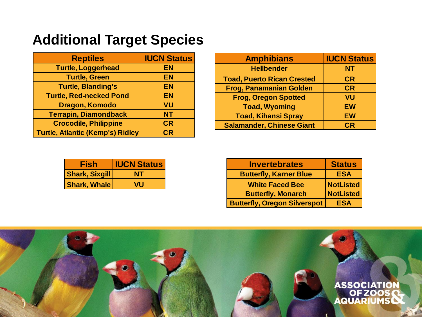## **Additional Target Species**

| <b>Reptiles</b>                         | <b>IUCN Status</b> |
|-----------------------------------------|--------------------|
| <b>Turtle, Loggerhead</b>               | <b>EN</b>          |
| <b>Turtle, Green</b>                    | <b>EN</b>          |
| <b>Turtle, Blanding's</b>               | <b>EN</b>          |
| <b>Turtle, Red-necked Pond</b>          | <b>EN</b>          |
| Dragon, Komodo                          | VU                 |
| <b>Terrapin, Diamondback</b>            | <b>NT</b>          |
| <b>Crocodile, Philippine</b>            | <b>CR</b>          |
| <b>Turtle, Atlantic (Kemp's) Ridley</b> | CR                 |

| <b>Amphibians</b>                 | <b>IUCN Status</b> |
|-----------------------------------|--------------------|
| <b>Hellbender</b>                 | <b>NT</b>          |
| <b>Toad, Puerto Rican Crested</b> | <b>CR</b>          |
| <b>Frog, Panamanian Golden</b>    | <b>CR</b>          |
| <b>Frog, Oregon Spotted</b>       | VU                 |
| <b>Toad, Wyoming</b>              | <b>EW</b>          |
| <b>Toad, Kihansi Spray</b>        | <b>EW</b>          |
| <b>Salamander, Chinese Giant</b>  | CR                 |

| Fish                  | <b>IUCN Status</b> |
|-----------------------|--------------------|
| <b>Shark, Sixgill</b> | NT                 |
| <b>Shark, Whale</b>   | VU                 |

| <b>Invertebrates</b>                | <b>Status</b>    |
|-------------------------------------|------------------|
| <b>Butterfly, Karner Blue</b>       | <b>ESA</b>       |
| <b>White Faced Bee</b>              | <b>NotListed</b> |
| <b>Butterfly, Monarch</b>           | <b>NotListed</b> |
| <b>Butterfly, Oregon Silverspot</b> | <b>ESA</b>       |

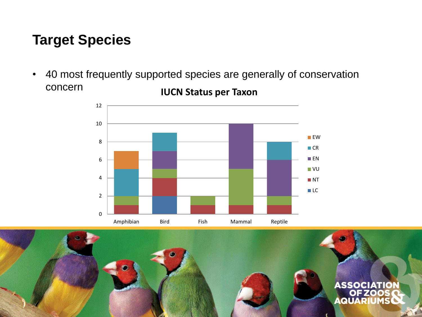#### **Target Species**

• 40 most frequently supported species are generally of conservation concern **IUCN Status per Taxon**



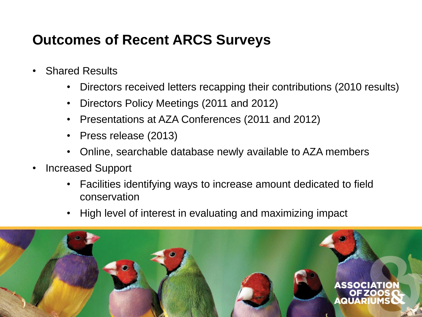## **Outcomes of Recent ARCS Surveys**

- Shared Results
	- Directors received letters recapping their contributions (2010 results)
	- Directors Policy Meetings (2011 and 2012)
	- Presentations at AZA Conferences (2011 and 2012)
	- Press release (2013)
	- Online, searchable database newly available to AZA members
- Increased Support
	- Facilities identifying ways to increase amount dedicated to field conservation
	- High level of interest in evaluating and maximizing impact

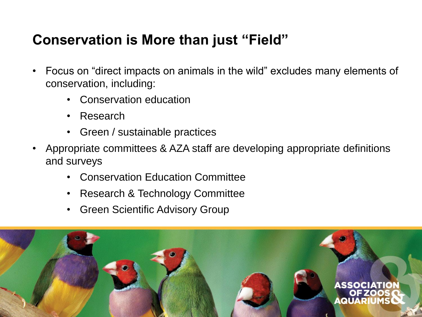## **Conservation is More than just "Field"**

- Focus on "direct impacts on animals in the wild" excludes many elements of conservation, including:
	- Conservation education
	- Research
	- Green / sustainable practices
- Appropriate committees & AZA staff are developing appropriate definitions and surveys
	- Conservation Education Committee
	- Research & Technology Committee
	- Green Scientific Advisory Group

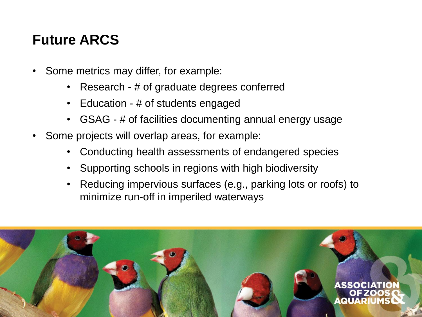## **Future ARCS**

- Some metrics may differ, for example:
	- Research # of graduate degrees conferred
	- Education # of students engaged
	- GSAG # of facilities documenting annual energy usage
- Some projects will overlap areas, for example:
	- Conducting health assessments of endangered species
	- Supporting schools in regions with high biodiversity
	- Reducing impervious surfaces (e.g., parking lots or roofs) to minimize run-off in imperiled waterways

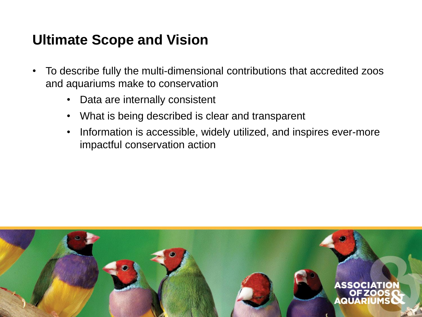#### **Ultimate Scope and Vision**

- To describe fully the multi-dimensional contributions that accredited zoos and aquariums make to conservation
	- Data are internally consistent
	- What is being described is clear and transparent
	- Information is accessible, widely utilized, and inspires ever-more impactful conservation action